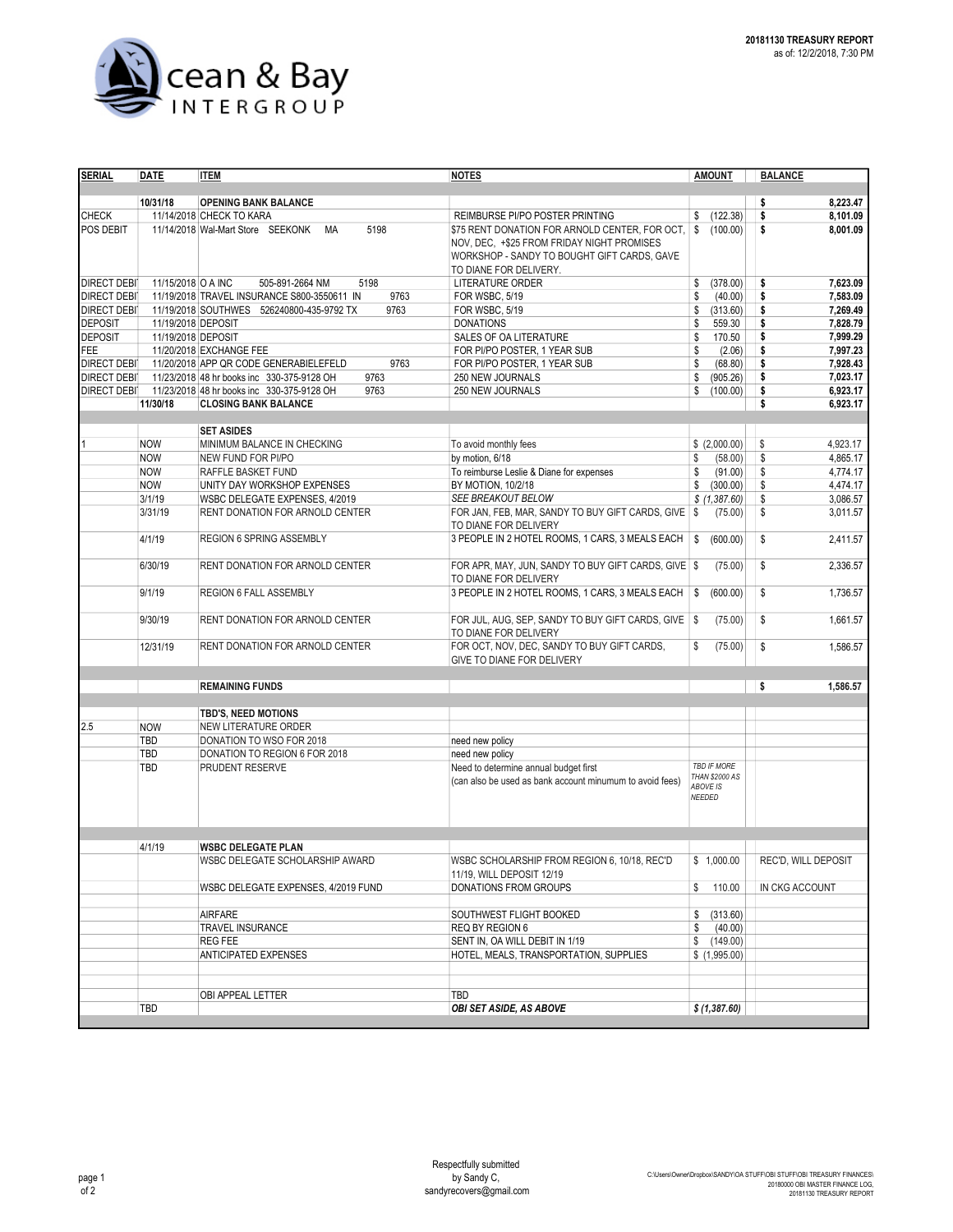

| <b>SERIAL</b>      | <b>DATE</b>                                | <b>ITEM</b>                                         | <b>NOTES</b>                                             | <b>AMOUNT</b>         | <b>BALANCE</b>             |
|--------------------|--------------------------------------------|-----------------------------------------------------|----------------------------------------------------------|-----------------------|----------------------------|
|                    |                                            |                                                     |                                                          |                       |                            |
|                    | 10/31/18                                   | <b>OPENING BANK BALANCE</b>                         |                                                          |                       | 8.223.47<br>\$             |
| <b>CHECK</b>       |                                            | 11/14/2018 CHECK TO KARA                            | REIMBURSE PI/PO POSTER PRINTING                          | (122.38)<br>\$        | \$<br>8,101.09             |
| POS DEBIT          |                                            | 11/14/2018 Wal-Mart Store SEEKONK<br>5198<br>МA     | \$75 RENT DONATION FOR ARNOLD CENTER, FOR OCT,   \$      | (100.00)              | \$<br>8,001.09             |
|                    |                                            |                                                     | NOV, DEC, +\$25 FROM FRIDAY NIGHT PROMISES               |                       |                            |
|                    |                                            |                                                     | WORKSHOP - SANDY TO BOUGHT GIFT CARDS, GAVE              |                       |                            |
|                    |                                            |                                                     | TO DIANE FOR DELIVERY.                                   |                       |                            |
| <b>DIRECT DEBI</b> | 11/15/2018 O A INC                         | 505-891-2664 NM<br>5198                             | LITERATURE ORDER                                         | \$<br>(378.00)        | \$<br>7,623.09             |
| <b>DIRECT DEBI</b> |                                            | 11/19/2018 TRAVEL INSURANCE S800-3550611 IN<br>9763 |                                                          | \$                    | 7,583.09                   |
|                    |                                            |                                                     | FOR WSBC, 5/19                                           | (40.00)               | \$                         |
| <b>DIRECT DEBI</b> |                                            | 11/19/2018 SOUTHWES 526240800-435-9792 TX<br>9763   | FOR WSBC, 5/19                                           | (313.60)<br>\$        | \$<br>7,269.49             |
| <b>DEPOSIT</b>     | 11/19/2018 DEPOSIT                         |                                                     | <b>DONATIONS</b>                                         | \$<br>559.30          | \$<br>7,828.79             |
| <b>DEPOSIT</b>     | 11/19/2018 DEPOSIT                         |                                                     | SALES OF OA LITERATURE                                   | 170.50<br>\$          | \$<br>7,999.29             |
| <b>FEE</b>         |                                            | 11/20/2018 EXCHANGE FEE                             | FOR PI/PO POSTER, 1 YEAR SUB                             | \$<br>(2.06)          | \$<br>7,997.23             |
| <b>DIRECT DEBI</b> |                                            | 9763<br>11/20/2018 APP QR CODE GENERABIELEFELD      | FOR PI/PO POSTER, 1 YEAR SUB                             | \$<br>(68.80)         | \$<br>7,928.43             |
| <b>DIRECT DEBI</b> |                                            | 11/23/2018 48 hr books inc 330-375-9128 OH<br>9763  | 250 NEW JOURNALS                                         | (905.26)<br>\$        | \$<br>7.023.17             |
| <b>DIRECT DEBI</b> |                                            | 11/23/2018 48 hr books inc 330-375-9128 OH<br>9763  | 250 NEW JOURNALS                                         | (100.00)<br>\$        | \$<br>6.923.17             |
|                    | 11/30/18                                   | <b>CLOSING BANK BALANCE</b>                         |                                                          |                       | \$<br>6,923.17             |
|                    |                                            |                                                     |                                                          |                       |                            |
|                    |                                            | <b>SET ASIDES</b>                                   |                                                          |                       |                            |
|                    | <b>NOW</b>                                 | MINIMUM BALANCE IN CHECKING                         | To avoid monthly fees                                    | \$ (2,000.00)         | 4,923.17<br>\$             |
|                    |                                            | NEW FUND FOR PI/PO                                  | by motion, 6/18                                          | (58.00)<br>\$         |                            |
|                    | <b>NOW</b>                                 |                                                     |                                                          |                       | \$<br>4,865.17             |
|                    | <b>NOW</b>                                 | RAFFLE BASKET FUND                                  | To reimburse Leslie & Diane for expenses                 | \$<br>(91.00)         | \$<br>4,774.17             |
|                    | <b>NOW</b>                                 | UNITY DAY WORKSHOP EXPENSES                         | BY MOTION, 10/2/18                                       | \$<br>(300.00)        | \$<br>4,474.17             |
|                    | 3/1/19                                     | WSBC DELEGATE EXPENSES, 4/2019                      | SEE BREAKOUT BELOW                                       | \$(1,387.60)          | \$<br>3,086.57             |
|                    | 3/31/19                                    | RENT DONATION FOR ARNOLD CENTER                     | FOR JAN, FEB, MAR, SANDY TO BUY GIFT CARDS, GIVE \$      | (75.00)               | \$<br>3,011.57             |
|                    |                                            |                                                     | TO DIANE FOR DELIVERY                                    |                       |                            |
|                    | 4/1/19<br>REGION 6 SPRING ASSEMBLY         |                                                     | 3 PEOPLE IN 2 HOTEL ROOMS, 1 CARS, 3 MEALS EACH \\$      | (600.00)              | \$<br>2,411.57             |
|                    |                                            |                                                     |                                                          |                       |                            |
|                    | 6/30/19<br>RENT DONATION FOR ARNOLD CENTER |                                                     | FOR APR, MAY, JUN, SANDY TO BUY GIFT CARDS, GIVE \$      | (75.00)               | \$<br>2,336.57             |
|                    |                                            |                                                     | TO DIANE FOR DELIVERY                                    |                       |                            |
|                    | 9/1/19                                     | REGION 6 FALL ASSEMBLY                              | 3 PEOPLE IN 2 HOTEL ROOMS, 1 CARS, 3 MEALS EACH \\$      | (600.00)              | \$<br>1,736.57             |
|                    |                                            |                                                     |                                                          |                       |                            |
|                    | 9/30/19                                    | RENT DONATION FOR ARNOLD CENTER                     | FOR JUL, AUG, SEP, SANDY TO BUY GIFT CARDS, GIVE   \$    | (75.00)               | \$<br>1,661.57             |
|                    |                                            |                                                     |                                                          |                       |                            |
|                    |                                            |                                                     | TO DIANE FOR DELIVERY                                    |                       |                            |
|                    | 12/31/19                                   | RENT DONATION FOR ARNOLD CENTER                     | FOR OCT, NOV, DEC, SANDY TO BUY GIFT CARDS,              | (75.00)<br>\$         | \$<br>1,586.57             |
|                    |                                            |                                                     | GIVE TO DIANE FOR DELIVERY                               |                       |                            |
|                    |                                            |                                                     |                                                          |                       |                            |
|                    |                                            | <b>REMAINING FUNDS</b>                              |                                                          |                       | \$<br>1,586.57             |
|                    |                                            |                                                     |                                                          |                       |                            |
|                    |                                            | <b>TBD'S, NEED MOTIONS</b>                          |                                                          |                       |                            |
| 2.5                | <b>NOW</b>                                 | NEW LITERATURE ORDER                                |                                                          |                       |                            |
|                    | <b>TBD</b>                                 | DONATION TO WSO FOR 2018                            | need new policy                                          |                       |                            |
|                    | <b>TBD</b>                                 | DONATION TO REGION 6 FOR 2018                       | need new policy                                          |                       |                            |
|                    | TBD                                        | PRUDENT RESERVE                                     | Need to determine annual budget first                    | <b>TBD IF MORE</b>    |                            |
|                    |                                            |                                                     | (can also be used as bank account minumum to avoid fees) | <b>THAN \$2000 AS</b> |                            |
|                    |                                            |                                                     |                                                          | ABOVE IS              |                            |
|                    |                                            |                                                     |                                                          | NEEDED                |                            |
|                    |                                            |                                                     |                                                          |                       |                            |
|                    |                                            |                                                     |                                                          |                       |                            |
|                    |                                            |                                                     |                                                          |                       |                            |
|                    | 4/1/19                                     | <b>WSBC DELEGATE PLAN</b>                           |                                                          |                       |                            |
|                    |                                            | WSBC DELEGATE SCHOLARSHIP AWARD                     | WSBC SCHOLARSHIP FROM REGION 6, 10/18, REC'D             | \$1,000.00            | <b>REC'D. WILL DEPOSIT</b> |
|                    |                                            |                                                     | 11/19, WILL DEPOSIT 12/19                                |                       |                            |
|                    |                                            | WSBC DELEGATE EXPENSES, 4/2019 FUND                 | DONATIONS FROM GROUPS                                    | \$<br>110.00          | IN CKG ACCOUNT             |
|                    |                                            |                                                     |                                                          |                       |                            |
|                    |                                            | <b>AIRFARE</b>                                      | SOUTHWEST FLIGHT BOOKED                                  | \$<br>(313.60)        |                            |
|                    |                                            | TRAVEL INSURANCE                                    | REQ BY REGION 6                                          | (40.00)<br>\$         |                            |
|                    |                                            | <b>REG FEE</b>                                      | SENT IN, OA WILL DEBIT IN 1/19                           | (149.00)<br>\$        |                            |
|                    |                                            | ANTICIPATED EXPENSES                                | HOTEL, MEALS, TRANSPORTATION, SUPPLIES                   | \$(1,995.00)          |                            |
|                    |                                            |                                                     |                                                          |                       |                            |
|                    |                                            |                                                     |                                                          |                       |                            |
|                    |                                            | OBI APPEAL LETTER                                   | TBD                                                      |                       |                            |
|                    |                                            |                                                     | OBI SET ASIDE, AS ABOVE                                  | \$ (1,387.60)         |                            |
|                    | TBD                                        |                                                     |                                                          |                       |                            |